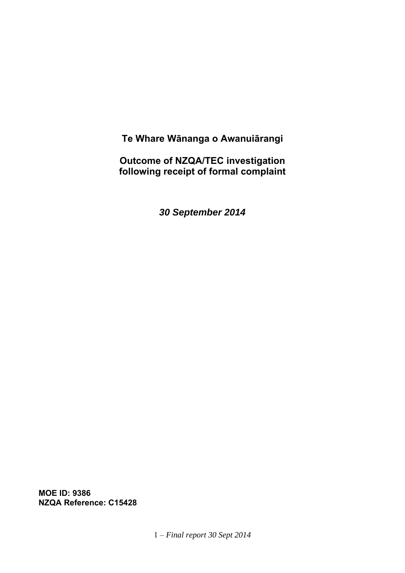**Te Whare Wānanga o Awanuiārangi** 

**Outcome of NZQA/TEC investigation following receipt of formal complaint** 

*30 September 2014*

**MOE ID: 9386 NZQA Reference: C15428**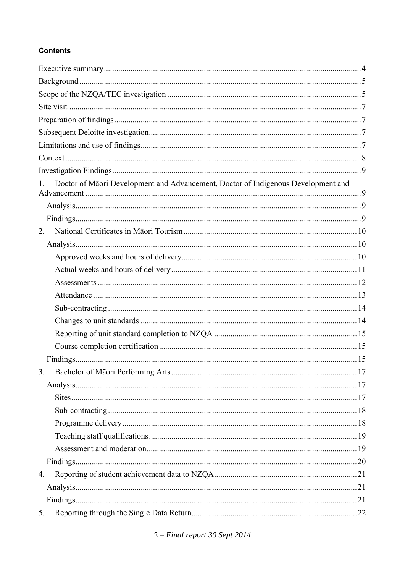# **Contents**

| Doctor of Māori Development and Advancement, Doctor of Indigenous Development and<br>$1_{\cdot}$ |  |
|--------------------------------------------------------------------------------------------------|--|
|                                                                                                  |  |
|                                                                                                  |  |
| 2 <sup>1</sup>                                                                                   |  |
|                                                                                                  |  |
|                                                                                                  |  |
|                                                                                                  |  |
|                                                                                                  |  |
|                                                                                                  |  |
|                                                                                                  |  |
|                                                                                                  |  |
|                                                                                                  |  |
|                                                                                                  |  |
|                                                                                                  |  |
| 3.                                                                                               |  |
|                                                                                                  |  |
|                                                                                                  |  |
|                                                                                                  |  |
|                                                                                                  |  |
|                                                                                                  |  |
|                                                                                                  |  |
|                                                                                                  |  |
| 4.                                                                                               |  |
|                                                                                                  |  |
|                                                                                                  |  |
| 5.                                                                                               |  |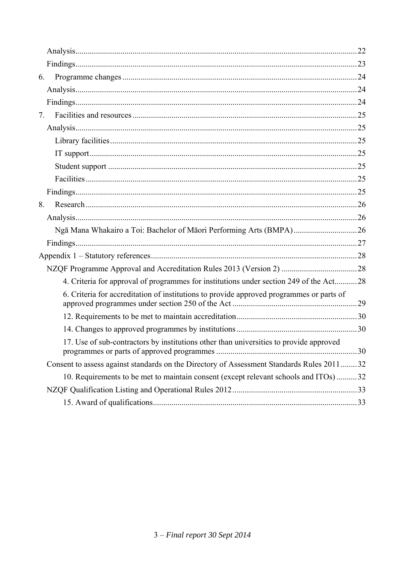| 6.                                                                                        |  |
|-------------------------------------------------------------------------------------------|--|
|                                                                                           |  |
|                                                                                           |  |
| 7.                                                                                        |  |
|                                                                                           |  |
|                                                                                           |  |
|                                                                                           |  |
|                                                                                           |  |
|                                                                                           |  |
|                                                                                           |  |
| 8.                                                                                        |  |
|                                                                                           |  |
| Ngā Mana Whakairo a Toi: Bachelor of Māori Performing Arts (BMPA)26                       |  |
|                                                                                           |  |
|                                                                                           |  |
|                                                                                           |  |
| 4. Criteria for approval of programmes for institutions under section 249 of the Act28    |  |
| 6. Criteria for accreditation of institutions to provide approved programmes or parts of  |  |
|                                                                                           |  |
|                                                                                           |  |
| 17. Use of sub-contractors by institutions other than universities to provide approved    |  |
| Consent to assess against standards on the Directory of Assessment Standards Rules 201132 |  |
| 10. Requirements to be met to maintain consent (except relevant schools and ITOs)32       |  |
|                                                                                           |  |
|                                                                                           |  |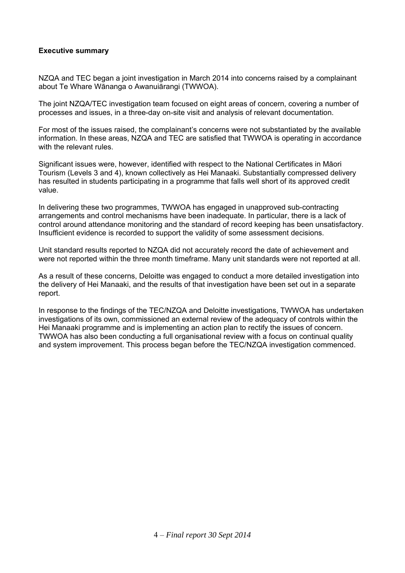# **Executive summary**

NZQA and TEC began a joint investigation in March 2014 into concerns raised by a complainant about Te Whare Wānanga o Awanuiārangi (TWWOA).

The joint NZQA/TEC investigation team focused on eight areas of concern, covering a number of processes and issues, in a three-day on-site visit and analysis of relevant documentation.

For most of the issues raised, the complainant's concerns were not substantiated by the available information. In these areas, NZQA and TEC are satisfied that TWWOA is operating in accordance with the relevant rules.

Significant issues were, however, identified with respect to the National Certificates in Māori Tourism (Levels 3 and 4), known collectively as Hei Manaaki. Substantially compressed delivery has resulted in students participating in a programme that falls well short of its approved credit value.

In delivering these two programmes, TWWOA has engaged in unapproved sub-contracting arrangements and control mechanisms have been inadequate. In particular, there is a lack of control around attendance monitoring and the standard of record keeping has been unsatisfactory. Insufficient evidence is recorded to support the validity of some assessment decisions.

Unit standard results reported to NZQA did not accurately record the date of achievement and were not reported within the three month timeframe. Many unit standards were not reported at all.

As a result of these concerns, Deloitte was engaged to conduct a more detailed investigation into the delivery of Hei Manaaki, and the results of that investigation have been set out in a separate report.

In response to the findings of the TEC/NZQA and Deloitte investigations, TWWOA has undertaken investigations of its own, commissioned an external review of the adequacy of controls within the Hei Manaaki programme and is implementing an action plan to rectify the issues of concern. TWWOA has also been conducting a full organisational review with a focus on continual quality and system improvement. This process began before the TEC/NZQA investigation commenced.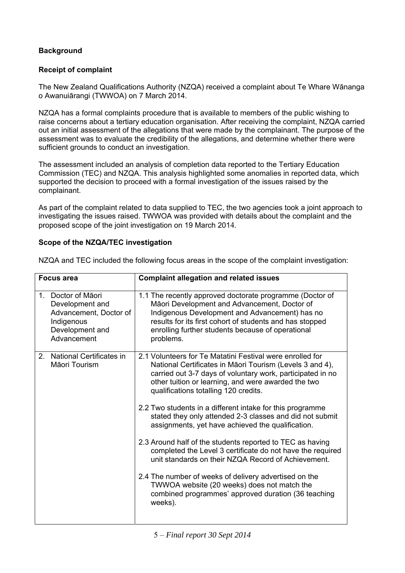# **Background**

# **Receipt of complaint**

The New Zealand Qualifications Authority (NZQA) received a complaint about Te Whare Wānanga o Awanuiārangi (TWWOA) on 7 March 2014.

NZQA has a formal complaints procedure that is available to members of the public wishing to raise concerns about a tertiary education organisation. After receiving the complaint, NZQA carried out an initial assessment of the allegations that were made by the complainant. The purpose of the assessment was to evaluate the credibility of the allegations, and determine whether there were sufficient grounds to conduct an investigation.

The assessment included an analysis of completion data reported to the Tertiary Education Commission (TEC) and NZQA. This analysis highlighted some anomalies in reported data, which supported the decision to proceed with a formal investigation of the issues raised by the complainant.

As part of the complaint related to data supplied to TEC, the two agencies took a joint approach to investigating the issues raised. TWWOA was provided with details about the complaint and the proposed scope of the joint investigation on 19 March 2014.

# **Scope of the NZQA/TEC investigation**

| <b>Focus area</b> |                                                                                                                                | <b>Complaint allegation and related issues</b>                                                                                                                                                                                                                                           |
|-------------------|--------------------------------------------------------------------------------------------------------------------------------|------------------------------------------------------------------------------------------------------------------------------------------------------------------------------------------------------------------------------------------------------------------------------------------|
|                   | Doctor of Māori<br>1 <sub>1</sub><br>Development and<br>Advancement, Doctor of<br>Indigenous<br>Development and<br>Advancement | 1.1 The recently approved doctorate programme (Doctor of<br>Māori Development and Advancement, Doctor of<br>Indigenous Development and Advancement) has no<br>results for its first cohort of students and has stopped<br>enrolling further students because of operational<br>problems. |
|                   | National Certificates in<br>2 <sub>1</sub><br>Māori Tourism                                                                    | 2.1 Volunteers for Te Matatini Festival were enrolled for<br>National Certificates in Māori Tourism (Levels 3 and 4),<br>carried out 3-7 days of voluntary work, participated in no<br>other tuition or learning, and were awarded the two<br>qualifications totalling 120 credits.      |
|                   |                                                                                                                                | 2.2 Two students in a different intake for this programme<br>stated they only attended 2-3 classes and did not submit<br>assignments, yet have achieved the qualification.                                                                                                               |
|                   |                                                                                                                                | 2.3 Around half of the students reported to TEC as having<br>completed the Level 3 certificate do not have the required<br>unit standards on their NZQA Record of Achievement.                                                                                                           |
|                   |                                                                                                                                | 2.4 The number of weeks of delivery advertised on the<br>TWWOA website (20 weeks) does not match the<br>combined programmes' approved duration (36 teaching<br>weeks).                                                                                                                   |
|                   |                                                                                                                                |                                                                                                                                                                                                                                                                                          |

NZQA and TEC included the following focus areas in the scope of the complaint investigation: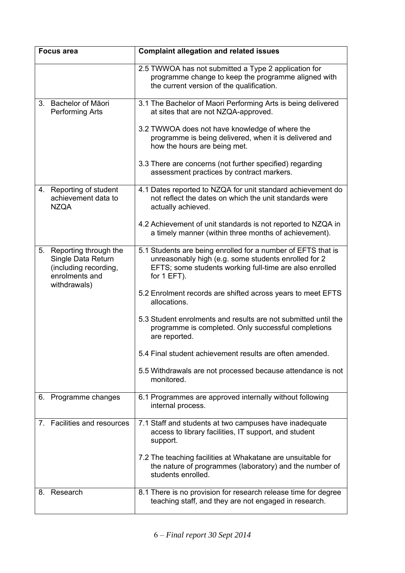| <b>Focus area</b>                |                                                                                                        | <b>Complaint allegation and related issues</b>                                                                                                                                                 |  |  |
|----------------------------------|--------------------------------------------------------------------------------------------------------|------------------------------------------------------------------------------------------------------------------------------------------------------------------------------------------------|--|--|
|                                  |                                                                                                        | 2.5 TWWOA has not submitted a Type 2 application for<br>programme change to keep the programme aligned with<br>the current version of the qualification.                                       |  |  |
| 3.                               | Bachelor of Māori<br><b>Performing Arts</b>                                                            | 3.1 The Bachelor of Maori Performing Arts is being delivered<br>at sites that are not NZQA-approved.                                                                                           |  |  |
|                                  |                                                                                                        | 3.2 TWWOA does not have knowledge of where the<br>programme is being delivered, when it is delivered and<br>how the hours are being met.                                                       |  |  |
|                                  |                                                                                                        | 3.3 There are concerns (not further specified) regarding<br>assessment practices by contract markers.                                                                                          |  |  |
| 4.                               | Reporting of student<br>achievement data to<br><b>NZQA</b>                                             | 4.1 Dates reported to NZQA for unit standard achievement do<br>not reflect the dates on which the unit standards were<br>actually achieved.                                                    |  |  |
|                                  |                                                                                                        | 4.2 Achievement of unit standards is not reported to NZQA in<br>a timely manner (within three months of achievement).                                                                          |  |  |
| 5.                               | Reporting through the<br>Single Data Return<br>(including recording,<br>enrolments and<br>withdrawals) | 5.1 Students are being enrolled for a number of EFTS that is<br>unreasonably high (e.g. some students enrolled for 2<br>EFTS; some students working full-time are also enrolled<br>for 1 EFT). |  |  |
|                                  |                                                                                                        | 5.2 Enrolment records are shifted across years to meet EFTS<br>allocations.                                                                                                                    |  |  |
|                                  |                                                                                                        | 5.3 Student enrolments and results are not submitted until the<br>programme is completed. Only successful completions<br>are reported.                                                         |  |  |
|                                  |                                                                                                        | 5.4 Final student achievement results are often amended.                                                                                                                                       |  |  |
|                                  |                                                                                                        | 5.5 Withdrawals are not processed because attendance is not<br>monitored.                                                                                                                      |  |  |
| 6.                               | Programme changes                                                                                      | 6.1 Programmes are approved internally without following<br>internal process.                                                                                                                  |  |  |
| $7_{\scriptscriptstyle{\ddots}}$ | Facilities and resources                                                                               | 7.1 Staff and students at two campuses have inadequate<br>access to library facilities, IT support, and student<br>support.                                                                    |  |  |
|                                  |                                                                                                        | 7.2 The teaching facilities at Whakatane are unsuitable for<br>the nature of programmes (laboratory) and the number of<br>students enrolled.                                                   |  |  |
| 8.                               | Research                                                                                               | 8.1 There is no provision for research release time for degree<br>teaching staff, and they are not engaged in research.                                                                        |  |  |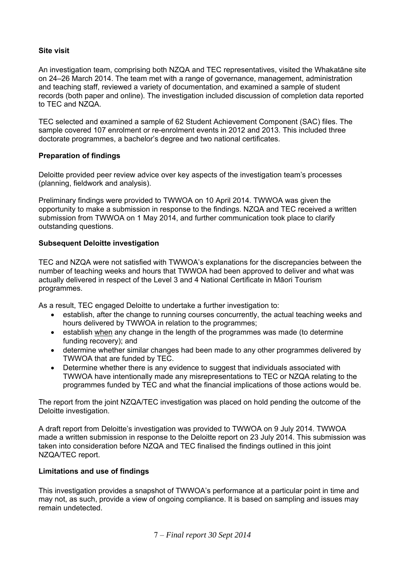# **Site visit**

An investigation team, comprising both NZQA and TEC representatives, visited the Whakatāne site on 24–26 March 2014. The team met with a range of governance, management, administration and teaching staff, reviewed a variety of documentation, and examined a sample of student records (both paper and online). The investigation included discussion of completion data reported to TEC and NZQA.

TEC selected and examined a sample of 62 Student Achievement Component (SAC) files. The sample covered 107 enrolment or re-enrolment events in 2012 and 2013. This included three doctorate programmes, a bachelor's degree and two national certificates.

### **Preparation of findings**

Deloitte provided peer review advice over key aspects of the investigation team's processes (planning, fieldwork and analysis).

Preliminary findings were provided to TWWOA on 10 April 2014. TWWOA was given the opportunity to make a submission in response to the findings. NZQA and TEC received a written submission from TWWOA on 1 May 2014, and further communication took place to clarify outstanding questions.

### **Subsequent Deloitte investigation**

TEC and NZQA were not satisfied with TWWOA's explanations for the discrepancies between the number of teaching weeks and hours that TWWOA had been approved to deliver and what was actually delivered in respect of the Level 3 and 4 National Certificate in Māori Tourism programmes.

As a result, TEC engaged Deloitte to undertake a further investigation to:

- establish, after the change to running courses concurrently, the actual teaching weeks and hours delivered by TWWOA in relation to the programmes;
- establish when any change in the length of the programmes was made (to determine funding recovery); and
- determine whether similar changes had been made to any other programmes delivered by TWWOA that are funded by TEC.
- Determine whether there is any evidence to suggest that individuals associated with TWWOA have intentionally made any misrepresentations to TEC or NZQA relating to the programmes funded by TEC and what the financial implications of those actions would be.

The report from the joint NZQA/TEC investigation was placed on hold pending the outcome of the Deloitte investigation.

A draft report from Deloitte's investigation was provided to TWWOA on 9 July 2014. TWWOA made a written submission in response to the Deloitte report on 23 July 2014. This submission was taken into consideration before NZQA and TEC finalised the findings outlined in this joint NZQA/TEC report.

### **Limitations and use of findings**

This investigation provides a snapshot of TWWOA's performance at a particular point in time and may not, as such, provide a view of ongoing compliance. It is based on sampling and issues may remain undetected.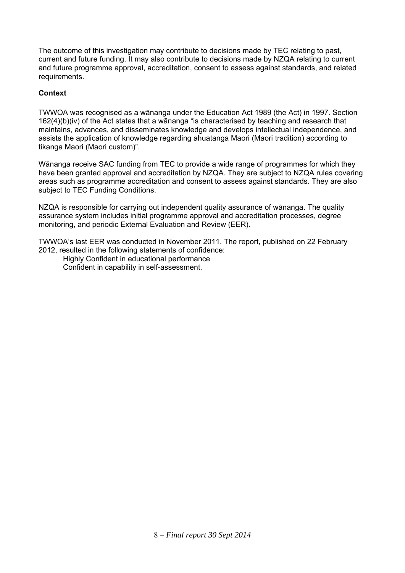The outcome of this investigation may contribute to decisions made by TEC relating to past, current and future funding. It may also contribute to decisions made by NZQA relating to current and future programme approval, accreditation, consent to assess against standards, and related requirements.

# **Context**

TWWOA was recognised as a wānanga under the Education Act 1989 (the Act) in 1997. Section 162(4)(b)(iv) of the Act states that a wānanga "is characterised by teaching and research that maintains, advances, and disseminates knowledge and develops intellectual independence, and assists the application of knowledge regarding ahuatanga Maori (Maori tradition) according to tikanga Maori (Maori custom)".

Wānanga receive SAC funding from TEC to provide a wide range of programmes for which they have been granted approval and accreditation by NZQA. They are subject to NZQA rules covering areas such as programme accreditation and consent to assess against standards. They are also subject to TEC Funding Conditions.

NZQA is responsible for carrying out independent quality assurance of wānanga. The quality assurance system includes initial programme approval and accreditation processes, degree monitoring, and periodic External Evaluation and Review (EER).

TWWOA's last EER was conducted in November 2011. The report, published on 22 February 2012, resulted in the following statements of confidence:

 Highly Confident in educational performance Confident in capability in self-assessment.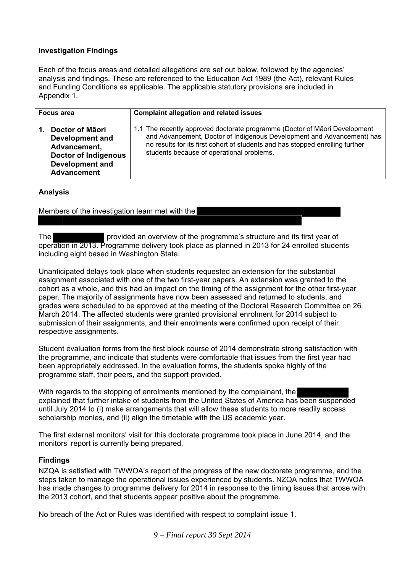# **Investigation Findings**

Each of the focus areas and detailed allegations are set out below, followed by the agencies' analysis and findings. These are referenced to the Education Act 1989 (the Act), relevant Rules and Funding Conditions as applicable. The applicable statutory provisions are included in Appendix 1.

| <b>Focus area</b>                                                                                                                 | <b>Complaint allegation and related issues</b>                                                                                                                                                                                                                                     |  |
|-----------------------------------------------------------------------------------------------------------------------------------|------------------------------------------------------------------------------------------------------------------------------------------------------------------------------------------------------------------------------------------------------------------------------------|--|
| Doctor of Māori<br>Development and<br>Advancement,<br><b>Doctor of Indigenous</b><br><b>Development and</b><br><b>Advancement</b> | 1.1 The recently approved doctorate programme (Doctor of Maori Development<br>and Advancement, Doctor of Indigenous Development and Advancement) has<br>no results for its first cohort of students and has stopped enrolling further<br>students because of operational problems. |  |

### **Analysis**

Members of the investigation team met with the

The provided an overview of the programme's structure and its first year of operation in 2013. Programme delivery took place as planned in 2013 for 24 enrolled students including eight based in Washington State.

Unanticipated delays took place when students requested an extension for the substantial assignment associated with one of the two first-year papers. An extension was granted to the cohort as a whole, and this had an impact on the timing of the assignment for the other first-year paper. The majority of assignments have now been assessed and returned to students, and grades were scheduled to be approved at the meeting of the Doctoral Research Committee on 26 March 2014. The affected students were granted provisional enrolment for 2014 subject to submission of their assignments, and their enrolments were confirmed upon receipt of their respective assignments.

Student evaluation forms from the first block course of 2014 demonstrate strong satisfaction with the programme, and indicate that students were comfortable that issues from the first year had been appropriately addressed. In the evaluation forms, the students spoke highly of the programme staff, their peers, and the support provided.

With regards to the stopping of enrolments mentioned by the complainant, the explained that further intake of students from the United States of America has been suspended until July 2014 to (i) make arrangements that will allow these students to more readily access scholarship monies, and (ii) align the timetable with the US academic year.

The first external monitors' visit for this doctorate programme took place in June 2014, and the monitors' report is currently being prepared.

### **Findings**

NZQA is satisfied with TWWOA's report of the progress of the new doctorate programme, and the steps taken to manage the operational issues experienced by students. NZQA notes that TWWOA has made changes to programme delivery for 2014 in response to the timing issues that arose with the 2013 cohort, and that students appear positive about the programme.

No breach of the Act or Rules was identified with respect to complaint issue 1.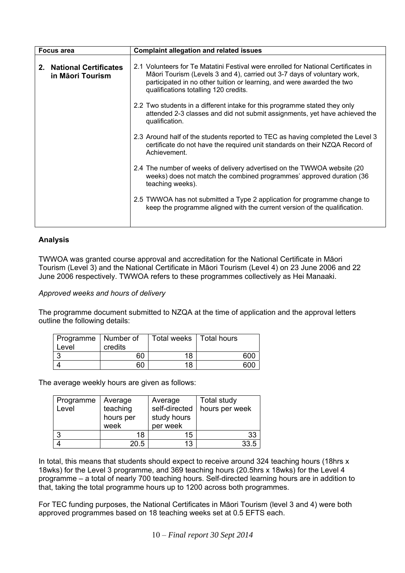| <b>Complaint allegation and related issues</b><br><b>Focus area</b> |                                                  |                                                                                                                                                                                                                                                                                  |
|---------------------------------------------------------------------|--------------------------------------------------|----------------------------------------------------------------------------------------------------------------------------------------------------------------------------------------------------------------------------------------------------------------------------------|
| $2_{-}$                                                             | <b>National Certificates</b><br>in Māori Tourism | 2.1 Volunteers for Te Matatini Festival were enrolled for National Certificates in<br>Māori Tourism (Levels 3 and 4), carried out 3-7 days of voluntary work,<br>participated in no other tuition or learning, and were awarded the two<br>qualifications totalling 120 credits. |
|                                                                     |                                                  | 2.2 Two students in a different intake for this programme stated they only<br>attended 2-3 classes and did not submit assignments, yet have achieved the<br>qualification.                                                                                                       |
|                                                                     |                                                  | 2.3 Around half of the students reported to TEC as having completed the Level 3<br>certificate do not have the required unit standards on their NZQA Record of<br>Achievement.                                                                                                   |
|                                                                     |                                                  | 2.4 The number of weeks of delivery advertised on the TWWOA website (20)<br>weeks) does not match the combined programmes' approved duration (36<br>teaching weeks).                                                                                                             |
|                                                                     |                                                  | 2.5 TWWOA has not submitted a Type 2 application for programme change to<br>keep the programme aligned with the current version of the qualification.                                                                                                                            |

TWWOA was granted course approval and accreditation for the National Certificate in Māori Tourism (Level 3) and the National Certificate in Māori Tourism (Level 4) on 23 June 2006 and 22 June 2006 respectively. TWWOA refers to these programmes collectively as Hei Manaaki.

*Approved weeks and hours of delivery* 

The programme document submitted to NZQA at the time of application and the approval letters outline the following details:

| Programme   Number of |         | Total weeks   Total hours |     |
|-----------------------|---------|---------------------------|-----|
| Level                 | credits |                           |     |
|                       | 60      | 18                        | 600 |
|                       | 60      | 18                        | 600 |

The average weekly hours are given as follows:

| Programme<br>Level | Average<br>teaching<br>hours per<br>week | Average<br>self-directed<br>study hours<br>per week | <b>Total study</b><br>hours per week |
|--------------------|------------------------------------------|-----------------------------------------------------|--------------------------------------|
|                    | 18                                       | 15                                                  | 33                                   |
|                    | 20.5                                     | 13                                                  | 33.5                                 |

In total, this means that students should expect to receive around 324 teaching hours (18hrs x 18wks) for the Level 3 programme, and 369 teaching hours (20.5hrs x 18wks) for the Level 4 programme – a total of nearly 700 teaching hours. Self-directed learning hours are in addition to that, taking the total programme hours up to 1200 across both programmes.

For TEC funding purposes, the National Certificates in Māori Tourism (level 3 and 4) were both approved programmes based on 18 teaching weeks set at 0.5 EFTS each.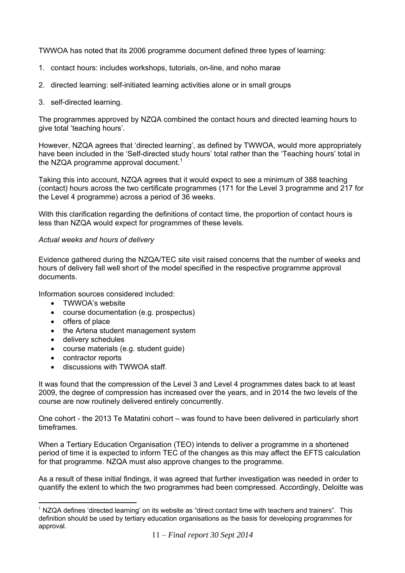TWWOA has noted that its 2006 programme document defined three types of learning:

- 1. contact hours: includes workshops, tutorials, on-line, and noho marae
- 2. directed learning: self-initiated learning activities alone or in small groups
- 3. self-directed learning.

The programmes approved by NZQA combined the contact hours and directed learning hours to give total 'teaching hours'.

However, NZQA agrees that 'directed learning', as defined by TWWOA, would more appropriately have been included in the 'Self-directed study hours' total rather than the 'Teaching hours' total in the NZQA programme approval document.<sup>1</sup>

Taking this into account, NZQA agrees that it would expect to see a minimum of 388 teaching (contact) hours across the two certificate programmes (171 for the Level 3 programme and 217 for the Level 4 programme) across a period of 36 weeks.

With this clarification regarding the definitions of contact time, the proportion of contact hours is less than NZQA would expect for programmes of these levels.

### *Actual weeks and hours of delivery*

Evidence gathered during the NZQA/TEC site visit raised concerns that the number of weeks and hours of delivery fall well short of the model specified in the respective programme approval documents.

Information sources considered included:

- TWWOA's website
- course documentation (e.g. prospectus)
- offers of place
- the Artena student management system
- delivery schedules
- course materials (e.g. student guide)
- contractor reports
- discussions with TWWOA staff.

It was found that the compression of the Level 3 and Level 4 programmes dates back to at least 2009, the degree of compression has increased over the years, and in 2014 the two levels of the course are now routinely delivered entirely concurrently.

One cohort - the 2013 Te Matatini cohort – was found to have been delivered in particularly short timeframes.

When a Tertiary Education Organisation (TEO) intends to deliver a programme in a shortened period of time it is expected to inform TEC of the changes as this may affect the EFTS calculation for that programme. NZQA must also approve changes to the programme.

As a result of these initial findings, it was agreed that further investigation was needed in order to quantify the extent to which the two programmes had been compressed. Accordingly, Deloitte was

 $\overline{a}$ NZQA defines 'directed learning' on its website as "direct contact time with teachers and trainers". This definition should be used by tertiary education organisations as the basis for developing programmes for approval.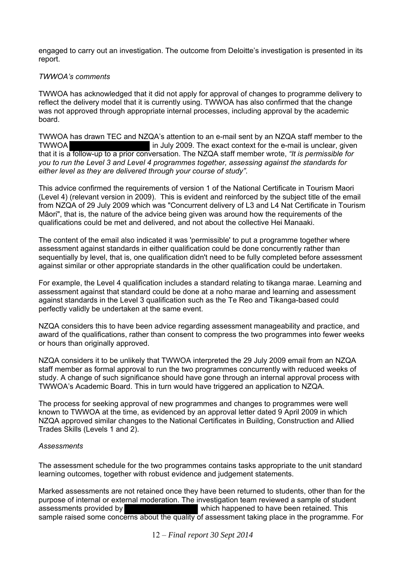engaged to carry out an investigation. The outcome from Deloitte's investigation is presented in its report.

## *TWWOA's comments*

TWWOA has acknowledged that it did not apply for approval of changes to programme delivery to reflect the delivery model that it is currently using. TWWOA has also confirmed that the change was not approved through appropriate internal processes, including approval by the academic board.

TWWOA has drawn TEC and NZQA's attention to an e-mail sent by an NZQA staff member to the TWWOA **in July 2009. The exact context for the e-mail is unclear, given** that it is a follow-up to a prior conversation. The NZQA staff member wrote, *"It is permissible for you to run the Level 3 and Level 4 programmes together, assessing against the standards for either level as they are delivered through your course of study"*.

This advice confirmed the requirements of version 1 of the National Certificate in Tourism Maori (Level 4) (relevant version in 2009). This is evident and reinforced by the subject title of the email from NZQA of 29 July 2009 which was "Concurrent delivery of L3 and L4 Nat Certificate in Tourism Māori", that is, the nature of the advice being given was around how the requirements of the qualifications could be met and delivered, and not about the collective Hei Manaaki.

The content of the email also indicated it was 'permissible' to put a programme together where assessment against standards in either qualification could be done concurrently rather than sequentially by level, that is, one qualification didn't need to be fully completed before assessment against similar or other appropriate standards in the other qualification could be undertaken.

For example, the Level 4 qualification includes a standard relating to tikanga marae. Learning and assessment against that standard could be done at a noho marae and learning and assessment against standards in the Level 3 qualification such as the Te Reo and Tikanga-based could perfectly validly be undertaken at the same event.

NZQA considers this to have been advice regarding assessment manageability and practice, and award of the qualifications, rather than consent to compress the two programmes into fewer weeks or hours than originally approved.

NZQA considers it to be unlikely that TWWOA interpreted the 29 July 2009 email from an NZQA staff member as formal approval to run the two programmes concurrently with reduced weeks of study. A change of such significance should have gone through an internal approval process with TWWOA's Academic Board. This in turn would have triggered an application to NZQA.

The process for seeking approval of new programmes and changes to programmes were well known to TWWOA at the time, as evidenced by an approval letter dated 9 April 2009 in which NZQA approved similar changes to the National Certificates in Building, Construction and Allied Trades Skills (Levels 1 and 2).

### *Assessments*

The assessment schedule for the two programmes contains tasks appropriate to the unit standard learning outcomes, together with robust evidence and judgement statements.

Marked assessments are not retained once they have been returned to students, other than for the purpose of internal or external moderation. The investigation team reviewed a sample of student assessments provided by which happened to have been retained. This sample raised some concerns about the quality of assessment taking place in the programme. For

12 – *Final report 30 Sept 2014*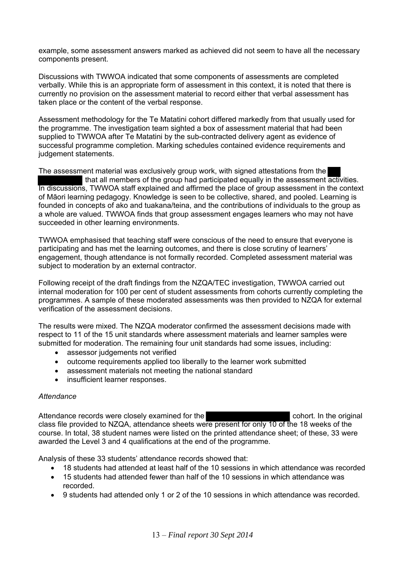example, some assessment answers marked as achieved did not seem to have all the necessary components present.

Discussions with TWWOA indicated that some components of assessments are completed verbally. While this is an appropriate form of assessment in this context, it is noted that there is currently no provision on the assessment material to record either that verbal assessment has taken place or the content of the verbal response.

Assessment methodology for the Te Matatini cohort differed markedly from that usually used for the programme. The investigation team sighted a box of assessment material that had been supplied to TWWOA after Te Matatini by the sub-contracted delivery agent as evidence of successful programme completion. Marking schedules contained evidence requirements and judgement statements.

The assessment material was exclusively group work, with signed attestations from the that all members of the group had participated equally in the assessment activities. In discussions, TWWOA staff explained and affirmed the place of group assessment in the context of Māori learning pedagogy. Knowledge is seen to be collective, shared, and pooled. Learning is founded in concepts of ako and tuakana/teina, and the contributions of individuals to the group as a whole are valued. TWWOA finds that group assessment engages learners who may not have succeeded in other learning environments.

TWWOA emphasised that teaching staff were conscious of the need to ensure that everyone is participating and has met the learning outcomes, and there is close scrutiny of learners' engagement, though attendance is not formally recorded. Completed assessment material was subject to moderation by an external contractor.

Following receipt of the draft findings from the NZQA/TEC investigation, TWWOA carried out internal moderation for 100 per cent of student assessments from cohorts currently completing the programmes. A sample of these moderated assessments was then provided to NZQA for external verification of the assessment decisions.

The results were mixed. The NZQA moderator confirmed the assessment decisions made with respect to 11 of the 15 unit standards where assessment materials and learner samples were submitted for moderation. The remaining four unit standards had some issues, including:

- assessor judgements not verified
- outcome requirements applied too liberally to the learner work submitted
- assessment materials not meeting the national standard
- insufficient learner responses.

### *Attendance*

Attendance records were closely examined for the cohort. In the original class file provided to NZQA, attendance sheets were present for only 10 of the 18 weeks of the course. In total, 38 student names were listed on the printed attendance sheet; of these, 33 were awarded the Level 3 and 4 qualifications at the end of the programme.

Analysis of these 33 students' attendance records showed that:

- 18 students had attended at least half of the 10 sessions in which attendance was recorded
- 15 students had attended fewer than half of the 10 sessions in which attendance was recorded.
- 9 students had attended only 1 or 2 of the 10 sessions in which attendance was recorded.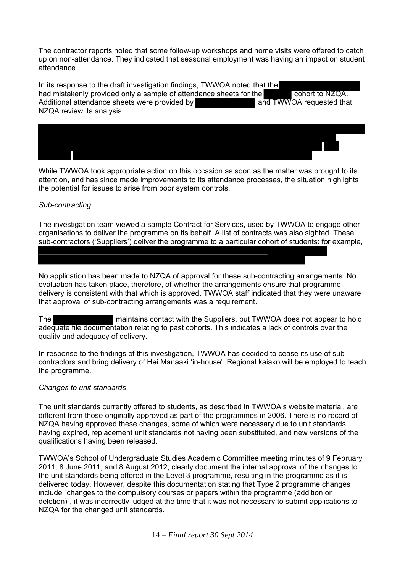The contractor reports noted that some follow-up workshops and home visits were offered to catch up on non-attendance. They indicated that seasonal employment was having an impact on student attendance.

In its response to the draft investigation findings, TWWOA noted that the had mistakenly provided only a sample of attendance sheets for the cohort to NZQA. Additional attendance sheets were provided by and TWWOA requested that NZQA review its analysis.



While TWWOA took appropriate action on this occasion as soon as the matter was brought to its attention, and has since made improvements to its attendance processes, the situation highlights the potential for issues to arise from poor system controls.

### *Sub-contracting*

The investigation team viewed a sample Contract for Services, used by TWWOA to engage other organisations to deliver the programme on its behalf. A list of contracts was also sighted. These sub-contractors ('Suppliers') deliver the programme to a particular cohort of students: for example,

.

No application has been made to NZQA of approval for these sub-contracting arrangements. No evaluation has taken place, therefore, of whether the arrangements ensure that programme delivery is consistent with that which is approved. TWWOA staff indicated that they were unaware that approval of sub-contracting arrangements was a requirement.

The maintains contact with the Suppliers, but TWWOA does not appear to hold adequate file documentation relating to past cohorts. This indicates a lack of controls over the quality and adequacy of delivery.

In response to the findings of this investigation, TWWOA has decided to cease its use of subcontractors and bring delivery of Hei Manaaki 'in-house'. Regional kaiako will be employed to teach the programme.

### *Changes to unit standards*

The unit standards currently offered to students, as described in TWWOA's website material, are different from those originally approved as part of the programmes in 2006. There is no record of NZQA having approved these changes, some of which were necessary due to unit standards having expired, replacement unit standards not having been substituted, and new versions of the qualifications having been released.

TWWOA's School of Undergraduate Studies Academic Committee meeting minutes of 9 February 2011, 8 June 2011, and 8 August 2012, clearly document the internal approval of the changes to the unit standards being offered in the Level 3 programme, resulting in the programme as it is delivered today. However, despite this documentation stating that Type 2 programme changes include "changes to the compulsory courses or papers within the programme (addition or deletion)", it was incorrectly judged at the time that it was not necessary to submit applications to NZQA for the changed unit standards.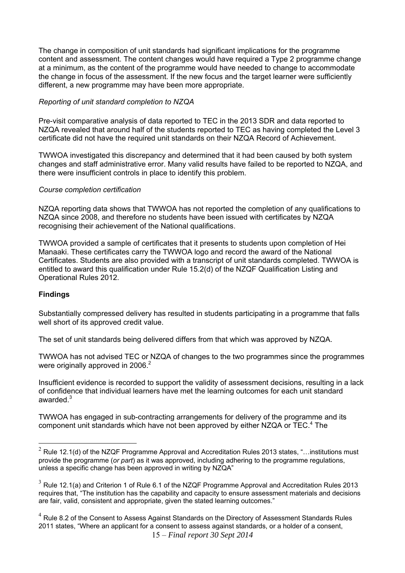The change in composition of unit standards had significant implications for the programme content and assessment. The content changes would have required a Type 2 programme change at a minimum, as the content of the programme would have needed to change to accommodate the change in focus of the assessment. If the new focus and the target learner were sufficiently different, a new programme may have been more appropriate.

## *Reporting of unit standard completion to NZQA*

Pre-visit comparative analysis of data reported to TEC in the 2013 SDR and data reported to NZQA revealed that around half of the students reported to TEC as having completed the Level 3 certificate did not have the required unit standards on their NZQA Record of Achievement.

TWWOA investigated this discrepancy and determined that it had been caused by both system changes and staff administrative error. Many valid results have failed to be reported to NZQA, and there were insufficient controls in place to identify this problem.

### *Course completion certification*

NZQA reporting data shows that TWWOA has not reported the completion of any qualifications to NZQA since 2008, and therefore no students have been issued with certificates by NZQA recognising their achievement of the National qualifications.

TWWOA provided a sample of certificates that it presents to students upon completion of Hei Manaaki. These certificates carry the TWWOA logo and record the award of the National Certificates. Students are also provided with a transcript of unit standards completed. TWWOA is entitled to award this qualification under Rule 15.2(d) of the NZQF Qualification Listing and Operational Rules 2012.

# **Findings**

 $\overline{a}$ 

Substantially compressed delivery has resulted in students participating in a programme that falls well short of its approved credit value.

The set of unit standards being delivered differs from that which was approved by NZQA.

TWWOA has not advised TEC or NZQA of changes to the two programmes since the programmes were originally approved in 2006.<sup>2</sup>

Insufficient evidence is recorded to support the validity of assessment decisions, resulting in a lack of confidence that individual learners have met the learning outcomes for each unit standard awarded.<sup>3</sup>

TWWOA has engaged in sub-contracting arrangements for delivery of the programme and its component unit standards which have not been approved by either NZQA or  $TEC<sup>4</sup>$  The

15 – *Final report 30 Sept 2014*   $<sup>4</sup>$  Rule 8.2 of the Consent to Assess Against Standards on the Directory of Assessment Standards Rules</sup> 2011 states, "Where an applicant for a consent to assess against standards, or a holder of a consent,

 $2$  Rule 12.1(d) of the NZQF Programme Approval and Accreditation Rules 2013 states, "...institutions must provide the programme (*or part*) as it was approved, including adhering to the programme regulations, unless a specific change has been approved in writing by NZQA"

 $3$  Rule 12.1(a) and Criterion 1 of Rule 6.1 of the NZQF Programme Approval and Accreditation Rules 2013 requires that, "The institution has the capability and capacity to ensure assessment materials and decisions are fair, valid, consistent and appropriate, given the stated learning outcomes."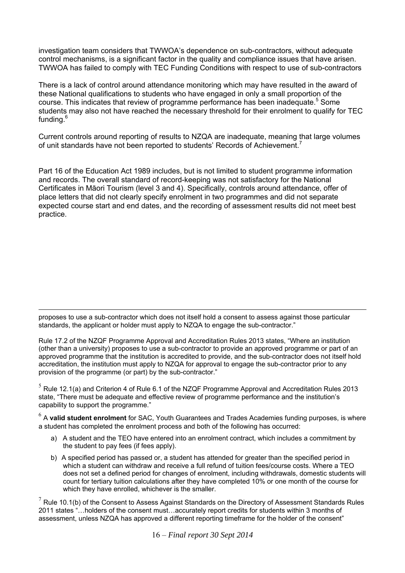investigation team considers that TWWOA's dependence on sub-contractors, without adequate control mechanisms, is a significant factor in the quality and compliance issues that have arisen. TWWOA has failed to comply with TEC Funding Conditions with respect to use of sub-contractors

There is a lack of control around attendance monitoring which may have resulted in the award of these National qualifications to students who have engaged in only a small proportion of the course. This indicates that review of programme performance has been inadequate.<sup>5</sup> Some students may also not have reached the necessary threshold for their enrolment to qualify for TEC funding.<sup>6</sup>

Current controls around reporting of results to NZQA are inadequate, meaning that large volumes of unit standards have not been reported to students' Records of Achievement.<sup>7</sup>

Part 16 of the Education Act 1989 includes, but is not limited to student programme information and records. The overall standard of record-keeping was not satisfactory for the National Certificates in Māori Tourism (level 3 and 4). Specifically, controls around attendance, offer of place letters that did not clearly specify enrolment in two programmes and did not separate expected course start and end dates, and the recording of assessment results did not meet best practice.

 $\overline{a}$ proposes to use a sub-contractor which does not itself hold a consent to assess against those particular standards, the applicant or holder must apply to NZQA to engage the sub-contractor."

Rule 17.2 of the NZQF Programme Approval and Accreditation Rules 2013 states, "Where an institution (other than a university) proposes to use a sub-contractor to provide an approved programme or part of an approved programme that the institution is accredited to provide, and the sub-contractor does not itself hold accreditation, the institution must apply to NZQA for approval to engage the sub-contractor prior to any provision of the programme (or part) by the sub-contractor."

 $<sup>5</sup>$  Rule 12.1(a) and Criterion 4 of Rule 6.1 of the NZQF Programme Approval and Accreditation Rules 2013</sup> state, "There must be adequate and effective review of programme performance and the institution's capability to support the programme."

<sup>6</sup> A **valid student enrolment** for SAC, Youth Guarantees and Trades Academies funding purposes, is where a student has completed the enrolment process and both of the following has occurred:

- a) A student and the TEO have entered into an enrolment contract, which includes a commitment by the student to pay fees (if fees apply).
- b) A specified period has passed or, a student has attended for greater than the specified period in which a student can withdraw and receive a full refund of tuition fees/course costs. Where a TEO does not set a defined period for changes of enrolment, including withdrawals, domestic students will count for tertiary tuition calculations after they have completed 10% or one month of the course for which they have enrolled, whichever is the smaller.

 $7$  Rule 10.1(b) of the Consent to Assess Against Standards on the Directory of Assessment Standards Rules 2011 states "…holders of the consent must…accurately report credits for students within 3 months of assessment, unless NZQA has approved a different reporting timeframe for the holder of the consent"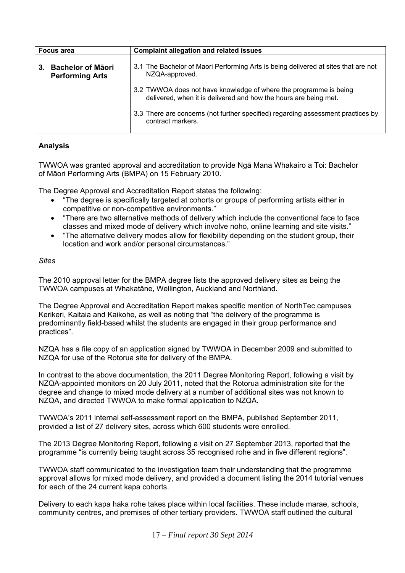| <b>Complaint allegation and related issues</b><br><b>Focus area</b> |                                                                                                                                       |
|---------------------------------------------------------------------|---------------------------------------------------------------------------------------------------------------------------------------|
| <b>Bachelor of Māori</b><br>3.<br><b>Performing Arts</b>            | 3.1 The Bachelor of Maori Performing Arts is being delivered at sites that are not<br>NZQA-approved.                                  |
|                                                                     | 3.2 TWWOA does not have knowledge of where the programme is being<br>delivered, when it is delivered and how the hours are being met. |
|                                                                     | 3.3 There are concerns (not further specified) regarding assessment practices by<br>contract markers.                                 |

TWWOA was granted approval and accreditation to provide Ngā Mana Whakairo a Toi: Bachelor of Māori Performing Arts (BMPA) on 15 February 2010.

The Degree Approval and Accreditation Report states the following:

- "The degree is specifically targeted at cohorts or groups of performing artists either in competitive or non-competitive environments."
- "There are two alternative methods of delivery which include the conventional face to face classes and mixed mode of delivery which involve noho, online learning and site visits."
- "The alternative delivery modes allow for flexibility depending on the student group, their location and work and/or personal circumstances."

# *Sites*

The 2010 approval letter for the BMPA degree lists the approved delivery sites as being the TWWOA campuses at Whakatāne, Wellington, Auckland and Northland.

The Degree Approval and Accreditation Report makes specific mention of NorthTec campuses Kerikeri, Kaitaia and Kaikohe, as well as noting that "the delivery of the programme is predominantly field-based whilst the students are engaged in their group performance and practices".

NZQA has a file copy of an application signed by TWWOA in December 2009 and submitted to NZQA for use of the Rotorua site for delivery of the BMPA.

In contrast to the above documentation, the 2011 Degree Monitoring Report, following a visit by NZQA-appointed monitors on 20 July 2011, noted that the Rotorua administration site for the degree and change to mixed mode delivery at a number of additional sites was not known to NZQA, and directed TWWOA to make formal application to NZQA.

TWWOA's 2011 internal self-assessment report on the BMPA, published September 2011, provided a list of 27 delivery sites, across which 600 students were enrolled.

The 2013 Degree Monitoring Report, following a visit on 27 September 2013, reported that the programme "is currently being taught across 35 recognised rohe and in five different regions".

TWWOA staff communicated to the investigation team their understanding that the programme approval allows for mixed mode delivery, and provided a document listing the 2014 tutorial venues for each of the 24 current kapa cohorts.

Delivery to each kapa haka rohe takes place within local facilities. These include marae, schools, community centres, and premises of other tertiary providers. TWWOA staff outlined the cultural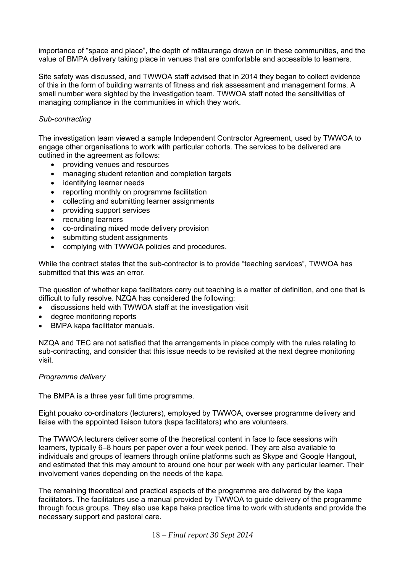importance of "space and place", the depth of mātauranga drawn on in these communities, and the value of BMPA delivery taking place in venues that are comfortable and accessible to learners.

Site safety was discussed, and TWWOA staff advised that in 2014 they began to collect evidence of this in the form of building warrants of fitness and risk assessment and management forms. A small number were sighted by the investigation team. TWWOA staff noted the sensitivities of managing compliance in the communities in which they work.

#### *Sub-contracting*

The investigation team viewed a sample Independent Contractor Agreement, used by TWWOA to engage other organisations to work with particular cohorts. The services to be delivered are outlined in the agreement as follows:

- providing venues and resources
- managing student retention and completion targets
- identifying learner needs
- reporting monthly on programme facilitation
- collecting and submitting learner assignments
- providing support services
- recruiting learners
- co-ordinating mixed mode delivery provision
- submitting student assignments
- complying with TWWOA policies and procedures.

While the contract states that the sub-contractor is to provide "teaching services", TWWOA has submitted that this was an error.

The question of whether kapa facilitators carry out teaching is a matter of definition, and one that is difficult to fully resolve. NZQA has considered the following:

- discussions held with TWWOA staff at the investigation visit
- degree monitoring reports
- BMPA kapa facilitator manuals.

NZQA and TEC are not satisfied that the arrangements in place comply with the rules relating to sub-contracting, and consider that this issue needs to be revisited at the next degree monitoring visit.

### *Programme delivery*

The BMPA is a three year full time programme.

Eight pouako co-ordinators (lecturers), employed by TWWOA, oversee programme delivery and liaise with the appointed liaison tutors (kapa facilitators) who are volunteers.

The TWWOA lecturers deliver some of the theoretical content in face to face sessions with learners, typically 6–8 hours per paper over a four week period. They are also available to individuals and groups of learners through online platforms such as Skype and Google Hangout, and estimated that this may amount to around one hour per week with any particular learner. Their involvement varies depending on the needs of the kapa.

The remaining theoretical and practical aspects of the programme are delivered by the kapa facilitators. The facilitators use a manual provided by TWWOA to guide delivery of the programme through focus groups. They also use kapa haka practice time to work with students and provide the necessary support and pastoral care.

18 – *Final report 30 Sept 2014*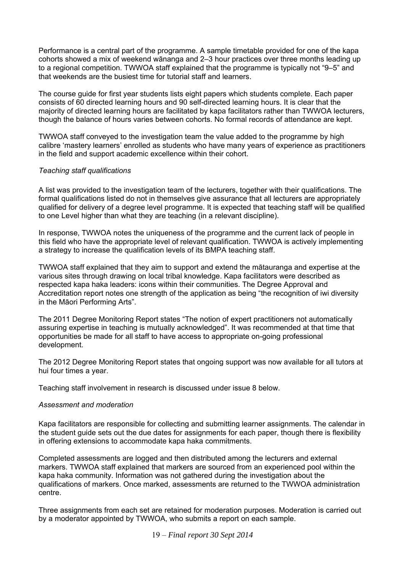Performance is a central part of the programme. A sample timetable provided for one of the kapa cohorts showed a mix of weekend wānanga and 2–3 hour practices over three months leading up to a regional competition. TWWOA staff explained that the programme is typically not "9–5" and that weekends are the busiest time for tutorial staff and learners.

The course guide for first year students lists eight papers which students complete. Each paper consists of 60 directed learning hours and 90 self-directed learning hours. It is clear that the majority of directed learning hours are facilitated by kapa facilitators rather than TWWOA lecturers, though the balance of hours varies between cohorts. No formal records of attendance are kept.

TWWOA staff conveyed to the investigation team the value added to the programme by high calibre 'mastery learners' enrolled as students who have many years of experience as practitioners in the field and support academic excellence within their cohort.

#### *Teaching staff qualifications*

A list was provided to the investigation team of the lecturers, together with their qualifications. The formal qualifications listed do not in themselves give assurance that all lecturers are appropriately qualified for delivery of a degree level programme. It is expected that teaching staff will be qualified to one Level higher than what they are teaching (in a relevant discipline).

In response, TWWOA notes the uniqueness of the programme and the current lack of people in this field who have the appropriate level of relevant qualification. TWWOA is actively implementing a strategy to increase the qualification levels of its BMPA teaching staff.

TWWOA staff explained that they aim to support and extend the mātauranga and expertise at the various sites through drawing on local tribal knowledge. Kapa facilitators were described as respected kapa haka leaders: icons within their communities. The Degree Approval and Accreditation report notes one strength of the application as being "the recognition of iwi diversity in the Māori Performing Arts".

The 2011 Degree Monitoring Report states "The notion of expert practitioners not automatically assuring expertise in teaching is mutually acknowledged". It was recommended at that time that opportunities be made for all staff to have access to appropriate on-going professional development.

The 2012 Degree Monitoring Report states that ongoing support was now available for all tutors at hui four times a year.

Teaching staff involvement in research is discussed under issue 8 below.

### *Assessment and moderation*

Kapa facilitators are responsible for collecting and submitting learner assignments. The calendar in the student guide sets out the due dates for assignments for each paper, though there is flexibility in offering extensions to accommodate kapa haka commitments.

Completed assessments are logged and then distributed among the lecturers and external markers. TWWOA staff explained that markers are sourced from an experienced pool within the kapa haka community. Information was not gathered during the investigation about the qualifications of markers. Once marked, assessments are returned to the TWWOA administration centre.

Three assignments from each set are retained for moderation purposes. Moderation is carried out by a moderator appointed by TWWOA, who submits a report on each sample.

19 – *Final report 30 Sept 2014*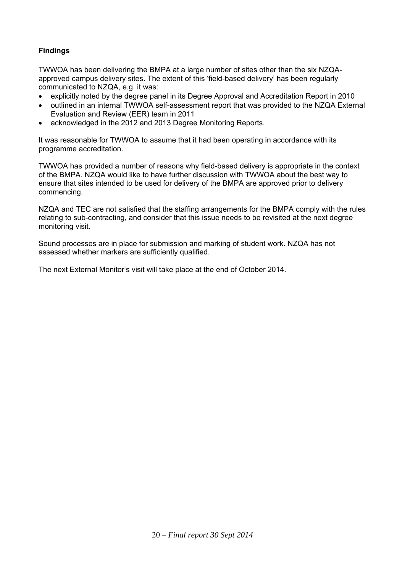# **Findings**

TWWOA has been delivering the BMPA at a large number of sites other than the six NZQAapproved campus delivery sites. The extent of this 'field-based delivery' has been regularly communicated to NZQA, e.g. it was:

- explicitly noted by the degree panel in its Degree Approval and Accreditation Report in 2010
- outlined in an internal TWWOA self-assessment report that was provided to the NZQA External Evaluation and Review (EER) team in 2011
- acknowledged in the 2012 and 2013 Degree Monitoring Reports.

It was reasonable for TWWOA to assume that it had been operating in accordance with its programme accreditation.

TWWOA has provided a number of reasons why field-based delivery is appropriate in the context of the BMPA. NZQA would like to have further discussion with TWWOA about the best way to ensure that sites intended to be used for delivery of the BMPA are approved prior to delivery commencing.

NZQA and TEC are not satisfied that the staffing arrangements for the BMPA comply with the rules relating to sub-contracting, and consider that this issue needs to be revisited at the next degree monitoring visit.

Sound processes are in place for submission and marking of student work. NZQA has not assessed whether markers are sufficiently qualified.

The next External Monitor's visit will take place at the end of October 2014.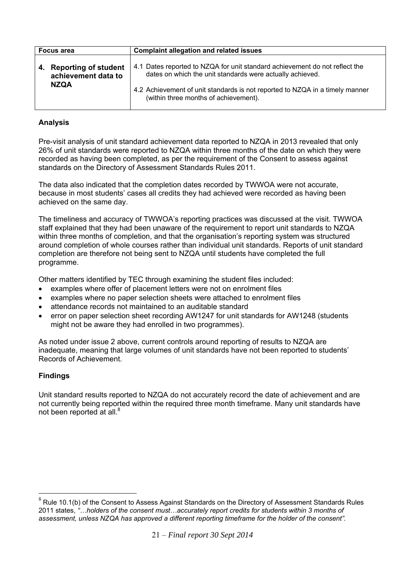| <b>Focus area</b>                                             | <b>Complaint allegation and related issues</b>                                                                                                                                                                                                                    |
|---------------------------------------------------------------|-------------------------------------------------------------------------------------------------------------------------------------------------------------------------------------------------------------------------------------------------------------------|
| 4. Reporting of student<br>achievement data to<br><b>NZQA</b> | 4.1 Dates reported to NZQA for unit standard achievement do not reflect the<br>dates on which the unit standards were actually achieved.<br>4.2 Achievement of unit standards is not reported to NZQA in a timely manner<br>(within three months of achievement). |

Pre-visit analysis of unit standard achievement data reported to NZQA in 2013 revealed that only 26% of unit standards were reported to NZQA within three months of the date on which they were recorded as having been completed, as per the requirement of the Consent to assess against standards on the Directory of Assessment Standards Rules 2011.

The data also indicated that the completion dates recorded by TWWOA were not accurate, because in most students' cases all credits they had achieved were recorded as having been achieved on the same day.

The timeliness and accuracy of TWWOA's reporting practices was discussed at the visit. TWWOA staff explained that they had been unaware of the requirement to report unit standards to NZQA within three months of completion, and that the organisation's reporting system was structured around completion of whole courses rather than individual unit standards. Reports of unit standard completion are therefore not being sent to NZQA until students have completed the full programme.

Other matters identified by TEC through examining the student files included:

- examples where offer of placement letters were not on enrolment files
- examples where no paper selection sheets were attached to enrolment files
- attendance records not maintained to an auditable standard
- error on paper selection sheet recording AW1247 for unit standards for AW1248 (students might not be aware they had enrolled in two programmes).

As noted under issue 2 above, current controls around reporting of results to NZQA are inadequate, meaning that large volumes of unit standards have not been reported to students' Records of Achievement.

# **Findings**

 $\overline{a}$ 

Unit standard results reported to NZQA do not accurately record the date of achievement and are not currently being reported within the required three month timeframe. Many unit standards have not been reported at all.<sup>8</sup>

 $8$  Rule 10.1(b) of the Consent to Assess Against Standards on the Directory of Assessment Standards Rules 2011 states, *"…holders of the consent must…accurately report credits for students within 3 months of assessment, unless NZQA has approved a different reporting timeframe for the holder of the consent".*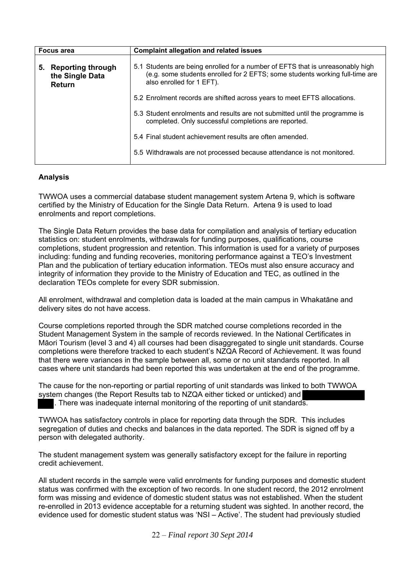| Focus area                                                         | <b>Complaint allegation and related issues</b>                                                                                                                                              |  |
|--------------------------------------------------------------------|---------------------------------------------------------------------------------------------------------------------------------------------------------------------------------------------|--|
| <b>Reporting through</b><br>5.<br>the Single Data<br><b>Return</b> | 5.1 Students are being enrolled for a number of EFTS that is unreasonably high<br>(e.g. some students enrolled for 2 EFTS; some students working full-time are<br>also enrolled for 1 EFT). |  |
|                                                                    | 5.2 Enrolment records are shifted across years to meet EFTS allocations.                                                                                                                    |  |
|                                                                    | 5.3 Student enrolments and results are not submitted until the programme is<br>completed. Only successful completions are reported.                                                         |  |
|                                                                    | 5.4 Final student achievement results are often amended.                                                                                                                                    |  |
|                                                                    | 5.5 Withdrawals are not processed because attendance is not monitored.                                                                                                                      |  |

٦

TWWOA uses a commercial database student management system Artena 9, which is software certified by the Ministry of Education for the Single Data Return. Artena 9 is used to load enrolments and report completions.

The Single Data Return provides the base data for compilation and analysis of tertiary education statistics on: student enrolments, withdrawals for funding purposes, qualifications, course completions, student progression and retention. This information is used for a variety of purposes including: funding and funding recoveries, monitoring performance against a TEO's Investment Plan and the publication of tertiary education information. TEOs must also ensure accuracy and integrity of information they provide to the Ministry of Education and TEC, as outlined in the declaration TEOs complete for every SDR submission.

All enrolment, withdrawal and completion data is loaded at the main campus in Whakatāne and delivery sites do not have access.

Course completions reported through the SDR matched course completions recorded in the Student Management System in the sample of records reviewed. In the National Certificates in Māori Tourism (level 3 and 4) all courses had been disaggregated to single unit standards. Course completions were therefore tracked to each student's NZQA Record of Achievement. It was found that there were variances in the sample between all, some or no unit standards reported. In all cases where unit standards had been reported this was undertaken at the end of the programme.

The cause for the non-reporting or partial reporting of unit standards was linked to both TWWOA system changes (the Report Results tab to NZQA either ticked or unticked) and . There was inadequate internal monitoring of the reporting of unit standards.

TWWOA has satisfactory controls in place for reporting data through the SDR. This includes segregation of duties and checks and balances in the data reported. The SDR is signed off by a person with delegated authority.

The student management system was generally satisfactory except for the failure in reporting credit achievement.

All student records in the sample were valid enrolments for funding purposes and domestic student status was confirmed with the exception of two records. In one student record, the 2012 enrolment form was missing and evidence of domestic student status was not established. When the student re-enrolled in 2013 evidence acceptable for a returning student was sighted. In another record, the evidence used for domestic student status was 'NSI – Active'. The student had previously studied

22 – *Final report 30 Sept 2014*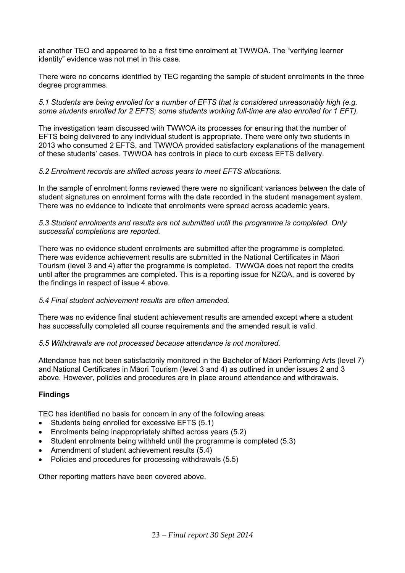at another TEO and appeared to be a first time enrolment at TWWOA. The "verifying learner identity" evidence was not met in this case.

There were no concerns identified by TEC regarding the sample of student enrolments in the three degree programmes.

*5.1 Students are being enrolled for a number of EFTS that is considered unreasonably high (e.g. some students enrolled for 2 EFTS; some students working full-time are also enrolled for 1 EFT).* 

The investigation team discussed with TWWOA its processes for ensuring that the number of EFTS being delivered to any individual student is appropriate. There were only two students in 2013 who consumed 2 EFTS, and TWWOA provided satisfactory explanations of the management of these students' cases. TWWOA has controls in place to curb excess EFTS delivery.

#### *5.2 Enrolment records are shifted across years to meet EFTS allocations.*

In the sample of enrolment forms reviewed there were no significant variances between the date of student signatures on enrolment forms with the date recorded in the student management system. There was no evidence to indicate that enrolments were spread across academic years.

#### *5.3 Student enrolments and results are not submitted until the programme is completed. Only successful completions are reported.*

There was no evidence student enrolments are submitted after the programme is completed. There was evidence achievement results are submitted in the National Certificates in Māori Tourism (level 3 and 4) after the programme is completed. TWWOA does not report the credits until after the programmes are completed. This is a reporting issue for NZQA, and is covered by the findings in respect of issue 4 above.

### *5.4 Final student achievement results are often amended.*

There was no evidence final student achievement results are amended except where a student has successfully completed all course requirements and the amended result is valid.

#### *5.5 Withdrawals are not processed because attendance is not monitored.*

Attendance has not been satisfactorily monitored in the Bachelor of Māori Performing Arts (level 7) and National Certificates in Māori Tourism (level 3 and 4) as outlined in under issues 2 and 3 above. However, policies and procedures are in place around attendance and withdrawals.

### **Findings**

TEC has identified no basis for concern in any of the following areas:

- Students being enrolled for excessive EFTS (5.1)
- Enrolments being inappropriately shifted across years (5.2)
- Student enrolments being withheld until the programme is completed (5.3)
- Amendment of student achievement results (5.4)
- Policies and procedures for processing withdrawals (5.5)

Other reporting matters have been covered above.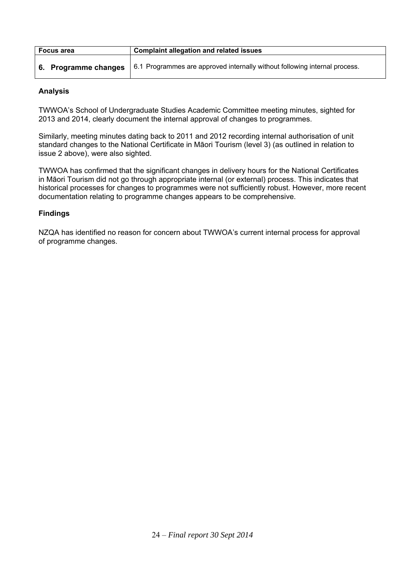| <b>Focus area</b>    | <b>Complaint allegation and related issues</b>                             |  |
|----------------------|----------------------------------------------------------------------------|--|
| 6. Programme changes | 6.1 Programmes are approved internally without following internal process. |  |

TWWOA's School of Undergraduate Studies Academic Committee meeting minutes, sighted for 2013 and 2014, clearly document the internal approval of changes to programmes.

Similarly, meeting minutes dating back to 2011 and 2012 recording internal authorisation of unit standard changes to the National Certificate in Māori Tourism (level 3) (as outlined in relation to issue 2 above), were also sighted.

TWWOA has confirmed that the significant changes in delivery hours for the National Certificates in Māori Tourism did not go through appropriate internal (or external) process. This indicates that historical processes for changes to programmes were not sufficiently robust. However, more recent documentation relating to programme changes appears to be comprehensive.

# **Findings**

NZQA has identified no reason for concern about TWWOA's current internal process for approval of programme changes.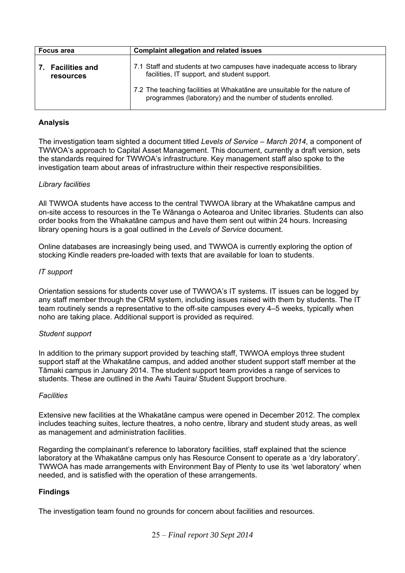| <b>Focus area</b>                     | <b>Complaint allegation and related issues</b>                                                                                            |
|---------------------------------------|-------------------------------------------------------------------------------------------------------------------------------------------|
| 7. Facilities and<br><b>resources</b> | 7.1 Staff and students at two campuses have inadequate access to library<br>facilities, IT support, and student support.                  |
|                                       | 7.2 The teaching facilities at Whakatane are unsuitable for the nature of<br>programmes (laboratory) and the number of students enrolled. |

The investigation team sighted a document titled *Levels of Service – March 2014*, a component of TWWOA's approach to Capital Asset Management. This document, currently a draft version, sets the standards required for TWWOA's infrastructure. Key management staff also spoke to the investigation team about areas of infrastructure within their respective responsibilities.

### *Library facilities*

All TWWOA students have access to the central TWWOA library at the Whakatāne campus and on-site access to resources in the Te Wānanga o Aotearoa and Unitec libraries. Students can also order books from the Whakatāne campus and have them sent out within 24 hours. Increasing library opening hours is a goal outlined in the *Levels of Service* document.

Online databases are increasingly being used, and TWWOA is currently exploring the option of stocking Kindle readers pre-loaded with texts that are available for loan to students.

### *IT support*

Orientation sessions for students cover use of TWWOA's IT systems. IT issues can be logged by any staff member through the CRM system, including issues raised with them by students. The IT team routinely sends a representative to the off-site campuses every 4–5 weeks, typically when noho are taking place. Additional support is provided as required.

### *Student support*

In addition to the primary support provided by teaching staff, TWWOA employs three student support staff at the Whakatāne campus, and added another student support staff member at the Tāmaki campus in January 2014. The student support team provides a range of services to students. These are outlined in the Awhi Tauira/ Student Support brochure.

#### *Facilities*

Extensive new facilities at the Whakatāne campus were opened in December 2012. The complex includes teaching suites, lecture theatres, a noho centre, library and student study areas, as well as management and administration facilities.

Regarding the complainant's reference to laboratory facilities, staff explained that the science laboratory at the Whakatāne campus only has Resource Consent to operate as a 'dry laboratory'. TWWOA has made arrangements with Environment Bay of Plenty to use its 'wet laboratory' when needed, and is satisfied with the operation of these arrangements.

### **Findings**

The investigation team found no grounds for concern about facilities and resources.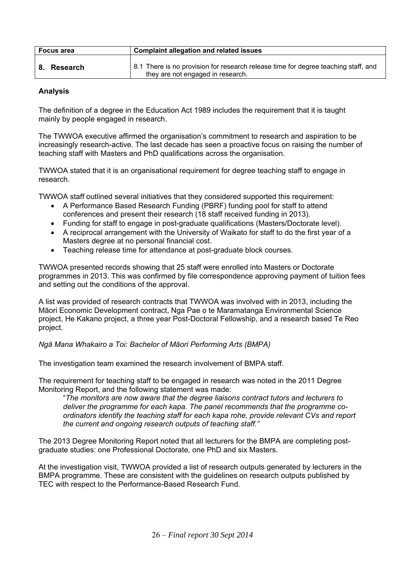| <b>Focus area</b> | <b>Complaint allegation and related issues</b>                                                                          |  |
|-------------------|-------------------------------------------------------------------------------------------------------------------------|--|
| 8. Research       | 8.1 There is no provision for research release time for degree teaching staff, and<br>they are not engaged in research. |  |

The definition of a degree in the Education Act 1989 includes the requirement that it is taught mainly by people engaged in research.

The TWWOA executive affirmed the organisation's commitment to research and aspiration to be increasingly research-active. The last decade has seen a proactive focus on raising the number of teaching staff with Masters and PhD qualifications across the organisation.

TWWOA stated that it is an organisational requirement for degree teaching staff to engage in research.

TWWOA staff outlined several initiatives that they considered supported this requirement:

- A Performance Based Research Funding (PBRF) funding pool for staff to attend conferences and present their research (18 staff received funding in 2013).
- Funding for staff to engage in post-graduate qualifications (Masters/Doctorate level).
- A reciprocal arrangement with the University of Waikato for staff to do the first year of a Masters degree at no personal financial cost.
- Teaching release time for attendance at post-graduate block courses.

TWWOA presented records showing that 25 staff were enrolled into Masters or Doctorate programmes in 2013. This was confirmed by file correspondence approving payment of tuition fees and setting out the conditions of the approval.

A list was provided of research contracts that TWWOA was involved with in 2013, including the Māori Economic Development contract, Nga Pae o te Maramatanga Environmental Science project, He Kakano project, a three year Post-Doctoral Fellowship, and a research based Te Reo project.

*Ngā Mana Whakairo a Toi: Bachelor of Māori Performing Arts (BMPA)* 

The investigation team examined the research involvement of BMPA staff.

The requirement for teaching staff to be engaged in research was noted in the 2011 Degree Monitoring Report, and the following statement was made:

"*The monitors are now aware that the degree liaisons contract tutors and lecturers to deliver the programme for each kapa. The panel recommends that the programme coordinators identify the teaching staff for each kapa rohe, provide relevant CVs and report the current and ongoing research outputs of teaching staff."* 

The 2013 Degree Monitoring Report noted that all lecturers for the BMPA are completing postgraduate studies: one Professional Doctorate, one PhD and six Masters.

At the investigation visit, TWWOA provided a list of research outputs generated by lecturers in the BMPA programme. These are consistent with the guidelines on research outputs published by TEC with respect to the Performance-Based Research Fund.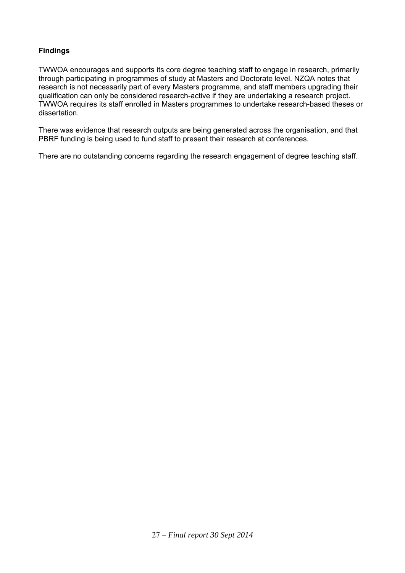# **Findings**

TWWOA encourages and supports its core degree teaching staff to engage in research, primarily through participating in programmes of study at Masters and Doctorate level. NZQA notes that research is not necessarily part of every Masters programme, and staff members upgrading their qualification can only be considered research-active if they are undertaking a research project. TWWOA requires its staff enrolled in Masters programmes to undertake research-based theses or dissertation.

There was evidence that research outputs are being generated across the organisation, and that PBRF funding is being used to fund staff to present their research at conferences.

There are no outstanding concerns regarding the research engagement of degree teaching staff.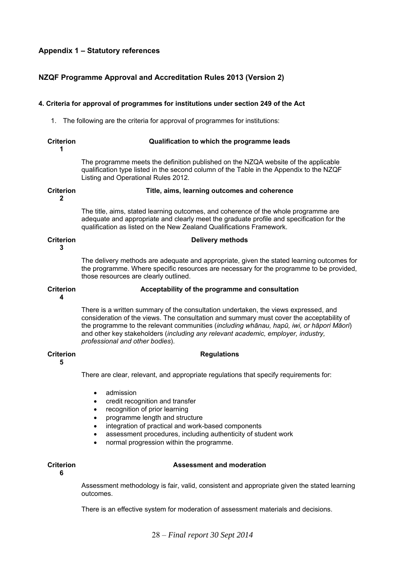### **Appendix 1 – Statutory references**

#### **NZQF Programme Approval and Accreditation Rules 2013 (Version 2)**

#### **4. Criteria for approval of programmes for institutions under section 249 of the Act**

1. The following are the criteria for approval of programmes for institutions:

#### **Criterion 1 Qualification to which the programme leads**

 The programme meets the definition published on the NZQA website of the applicable qualification type listed in the second column of the Table in the Appendix to the NZQF Listing and Operational Rules 2012.

#### **Criterion Title, aims, learning outcomes and coherence**

**2** 

 The title, aims, stated learning outcomes, and coherence of the whole programme are adequate and appropriate and clearly meet the graduate profile and specification for the qualification as listed on the New Zealand Qualifications Framework.

#### **Criterion**

**3** 

 The delivery methods are adequate and appropriate, given the stated learning outcomes for the programme. Where specific resources are necessary for the programme to be provided, those resources are clearly outlined.

**Delivery methods** 

#### **Acceptability of the programme and consultation**

**Criterion 4** 

> There is a written summary of the consultation undertaken, the views expressed, and consideration of the views. The consultation and summary must cover the acceptability of the programme to the relevant communities (*including whānau, hapū, iwi, or hāpori Māori*) and other key stakeholders (*including any relevant academic, employer, industry, professional and other bodies*).

> > **Regulations**

#### **Criterion**

**5** 

There are clear, relevant, and appropriate regulations that specify requirements for:

- admission
- credit recognition and transfer
- recognition of prior learning
- programme length and structure
- integration of practical and work-based components
- assessment procedures, including authenticity of student work
- normal progression within the programme.

#### **Criterion**

## **Assessment and moderation**

**6** 

 Assessment methodology is fair, valid, consistent and appropriate given the stated learning outcomes.

There is an effective system for moderation of assessment materials and decisions.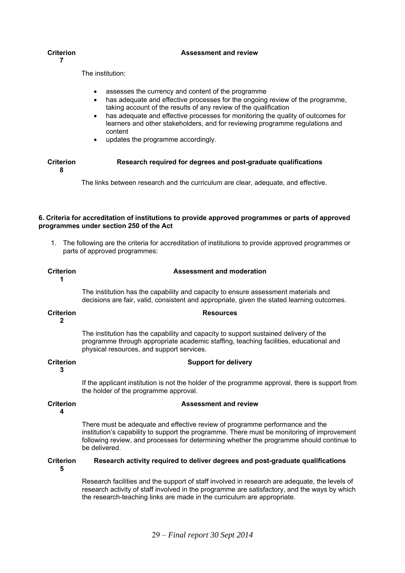#### **Assessment and review**

#### **Criterion**

**7** 

The institution:

- assesses the currency and content of the programme
- has adequate and effective processes for the ongoing review of the programme, taking account of the results of any review of the qualification
- has adequate and effective processes for monitoring the quality of outcomes for learners and other stakeholders, and for reviewing programme regulations and content
- updates the programme accordingly.

#### **Criterion 8 Research required for degrees and post-graduate qualifications**

The links between research and the curriculum are clear, adequate, and effective.

#### **6. Criteria for accreditation of institutions to provide approved programmes or parts of approved programmes under section 250 of the Act**

1. The following are the criteria for accreditation of institutions to provide approved programmes or parts of approved programmes:

| <b>Criterion</b> | <b>Assessment and moderation</b> |
|------------------|----------------------------------|
|                  |                                  |

 The institution has the capability and capacity to ensure assessment materials and decisions are fair, valid, consistent and appropriate, given the stated learning outcomes.

#### **Criterion 2 Resources**

 The institution has the capability and capacity to support sustained delivery of the programme through appropriate academic staffing, teaching facilities, educational and physical resources, and support services.

#### **Criterion**

**3** 

 If the applicant institution is not the holder of the programme approval, there is support from the holder of the programme approval.

**Assessment and review** 

**Support for delivery** 

#### **Criterion**

**4** 

 There must be adequate and effective review of programme performance and the institution's capability to support the programme. There must be monitoring of improvement following review, and processes for determining whether the programme should continue to be delivered.

**Criterion 5 Research activity required to deliver degrees and post-graduate qualifications** 

> Research facilities and the support of staff involved in research are adequate, the levels of research activity of staff involved in the programme are satisfactory, and the ways by which the research-teaching links are made in the curriculum are appropriate.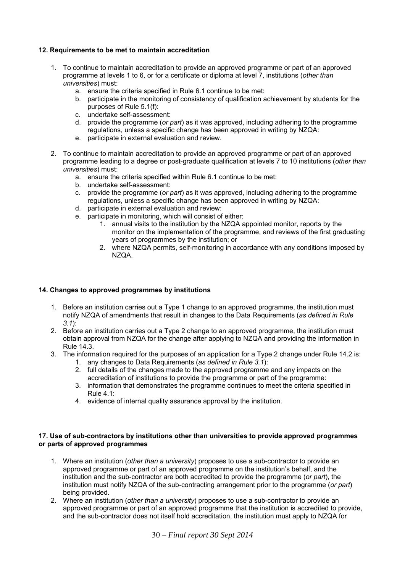#### **12. Requirements to be met to maintain accreditation**

- 1. To continue to maintain accreditation to provide an approved programme or part of an approved programme at levels 1 to 6, or for a certificate or diploma at level 7, institutions (*other than universities*) must:
	- a. ensure the criteria specified in Rule 6.1 continue to be met:
	- b. participate in the monitoring of consistency of qualification achievement by students for the purposes of Rule 5.1(f):
	- c. undertake self-assessment:
	- d. provide the programme (*or part*) as it was approved, including adhering to the programme regulations, unless a specific change has been approved in writing by NZQA:
	- e. participate in external evaluation and review.
- 2. To continue to maintain accreditation to provide an approved programme or part of an approved programme leading to a degree or post-graduate qualification at levels 7 to 10 institutions (*other than universities*) must:
	- a. ensure the criteria specified within Rule 6.1 continue to be met:
	- b. undertake self-assessment:
	- c. provide the programme (*or part*) as it was approved, including adhering to the programme regulations, unless a specific change has been approved in writing by NZQA:
	- d. participate in external evaluation and review:
	- e. participate in monitoring, which will consist of either:
		- 1. annual visits to the institution by the NZQA appointed monitor, reports by the monitor on the implementation of the programme, and reviews of the first graduating years of programmes by the institution; or
		- 2. where NZQA permits, self-monitoring in accordance with any conditions imposed by NZQA.

#### **14. Changes to approved programmes by institutions**

- 1. Before an institution carries out a Type 1 change to an approved programme, the institution must notify NZQA of amendments that result in changes to the Data Requirements (*as defined in Rule 3.1*):
- 2. Before an institution carries out a Type 2 change to an approved programme, the institution must obtain approval from NZQA for the change after applying to NZQA and providing the information in Rule 14.3.
- 3. The information required for the purposes of an application for a Type 2 change under Rule 14.2 is:
	- 1. any changes to Data Requirements (*as defined in Rule 3.1*):
	- 2. full details of the changes made to the approved programme and any impacts on the accreditation of institutions to provide the programme or part of the programme:
	- 3. information that demonstrates the programme continues to meet the criteria specified in Rule 4.1:
	- 4. evidence of internal quality assurance approval by the institution.

#### **17. Use of sub-contractors by institutions other than universities to provide approved programmes or parts of approved programmes**

- 1. Where an institution (*other than a university*) proposes to use a sub-contractor to provide an approved programme or part of an approved programme on the institution's behalf, and the institution and the sub-contractor are both accredited to provide the programme (*or part*), the institution must notify NZQA of the sub-contracting arrangement prior to the programme (*or part*) being provided.
- 2. Where an institution (*other than a university*) proposes to use a sub-contractor to provide an approved programme or part of an approved programme that the institution is accredited to provide, and the sub-contractor does not itself hold accreditation, the institution must apply to NZQA for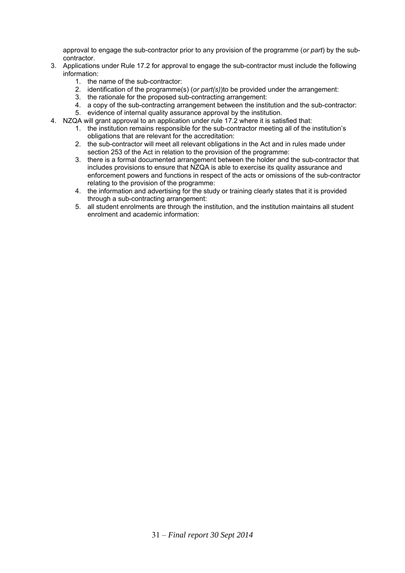approval to engage the sub-contractor prior to any provision of the programme (*or part*) by the subcontractor.

- 3. Applications under Rule 17.2 for approval to engage the sub-contractor must include the following information:
	- 1. the name of the sub-contractor:
	- 2. identification of the programme(s) (*or part(s)*)to be provided under the arrangement:
	- 3. the rationale for the proposed sub-contracting arrangement:
	- 4. a copy of the sub-contracting arrangement between the institution and the sub-contractor:
	- 5. evidence of internal quality assurance approval by the institution.
- 4. NZQA will grant approval to an application under rule 17.2 where it is satisfied that:
	- 1. the institution remains responsible for the sub-contractor meeting all of the institution's obligations that are relevant for the accreditation:
	- 2. the sub-contractor will meet all relevant obligations in the Act and in rules made under section 253 of the Act in relation to the provision of the programme:
	- 3. there is a formal documented arrangement between the holder and the sub-contractor that includes provisions to ensure that NZQA is able to exercise its quality assurance and enforcement powers and functions in respect of the acts or omissions of the sub-contractor relating to the provision of the programme:
	- 4. the information and advertising for the study or training clearly states that it is provided through a sub-contracting arrangement:
	- 5. all student enrolments are through the institution, and the institution maintains all student enrolment and academic information: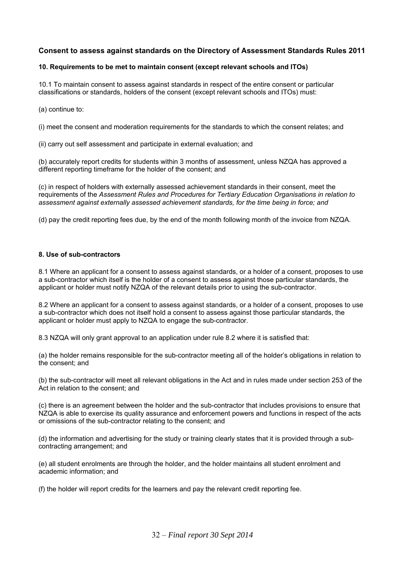#### **Consent to assess against standards on the Directory of Assessment Standards Rules 2011**

#### **10. Requirements to be met to maintain consent (except relevant schools and ITOs)**

10.1 To maintain consent to assess against standards in respect of the entire consent or particular classifications or standards, holders of the consent (except relevant schools and ITOs) must:

(a) continue to:

(i) meet the consent and moderation requirements for the standards to which the consent relates; and

(ii) carry out self assessment and participate in external evaluation; and

(b) accurately report credits for students within 3 months of assessment, unless NZQA has approved a different reporting timeframe for the holder of the consent; and

(c) in respect of holders with externally assessed achievement standards in their consent, meet the requirements of the *Assessment Rules and Procedures for Tertiary Education Organisations in relation to assessment against externally assessed achievement standards, for the time being in force; and*

(d) pay the credit reporting fees due, by the end of the month following month of the invoice from NZQA.

#### **8. Use of sub-contractors**

8.1 Where an applicant for a consent to assess against standards, or a holder of a consent, proposes to use a sub-contractor which itself is the holder of a consent to assess against those particular standards, the applicant or holder must notify NZQA of the relevant details prior to using the sub-contractor.

8.2 Where an applicant for a consent to assess against standards, or a holder of a consent, proposes to use a sub-contractor which does not itself hold a consent to assess against those particular standards, the applicant or holder must apply to NZQA to engage the sub-contractor.

8.3 NZQA will only grant approval to an application under rule 8.2 where it is satisfied that:

(a) the holder remains responsible for the sub-contractor meeting all of the holder's obligations in relation to the consent; and

(b) the sub-contractor will meet all relevant obligations in the Act and in rules made under section 253 of the Act in relation to the consent; and

(c) there is an agreement between the holder and the sub-contractor that includes provisions to ensure that NZQA is able to exercise its quality assurance and enforcement powers and functions in respect of the acts or omissions of the sub-contractor relating to the consent; and

(d) the information and advertising for the study or training clearly states that it is provided through a subcontracting arrangement; and

(e) all student enrolments are through the holder, and the holder maintains all student enrolment and academic information; and

(f) the holder will report credits for the learners and pay the relevant credit reporting fee.